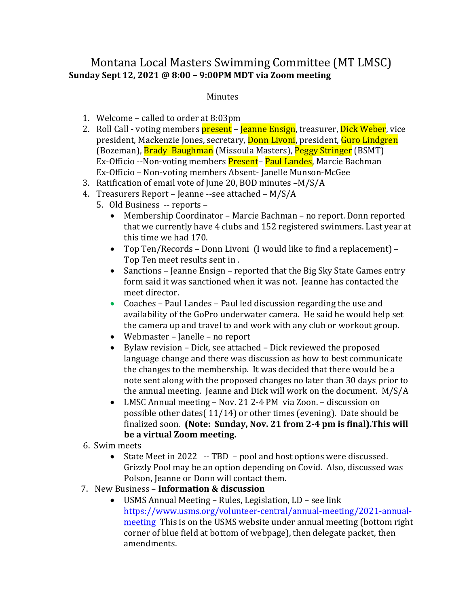## Montana Local Masters Swimming Committee (MT LMSC) **Sunday Sept 12, 2021 @ 8:00 – 9:00PM MDT via Zoom meeting**

## Minutes

- 1. Welcome called to order at  $8:03$ pm
- 2. Roll Call voting members present Jeanne Ensign, treasurer, Dick Weber, vice president, Mackenzie Jones, secretary, **Donn Livoni**, president, **Guro Lindgren** (Bozeman), **Brady Baughman** (Missoula Masters), **Peggy Stringer** (BSMT) Ex-Officio --Non-voting members Present- Paul Landes, Marcie Bachman Ex-Officio – Non-voting members Absent- Janelle Munson-McGee
- 3. Ratification of email vote of June 20, BOD minutes  $-M/S/A$
- 4. Treasurers Report Jeanne --see attached  $M/S/A$ 
	- 5. Old Business -- reports -
		- Membership Coordinator Marcie Bachman no report. Donn reported that we currently have 4 clubs and 152 registered swimmers. Last year at this time we had 170.
		- Top Ten/Records Donn Livoni (I would like to find a replacement) -Top Ten meet results sent in.
		- Sanctions Jeanne Ensign reported that the Big Sky State Games entry form said it was sanctioned when it was not. Jeanne has contacted the meet director.
		- Coaches Paul Landes Paul led discussion regarding the use and availability of the GoPro underwater camera. He said he would help set the camera up and travel to and work with any club or workout group.
		- Webmaster Janelle no report
		- Bylaw revision Dick, see attached Dick reviewed the proposed language change and there was discussion as how to best communicate the changes to the membership. It was decided that there would be a note sent along with the proposed changes no later than 30 days prior to the annual meeting. Jeanne and Dick will work on the document.  $M/S/A$
		- LMSC Annual meeting Nov. 21 2-4 PM via Zoon. discussion on possible other dates( $11/14$ ) or other times (evening). Date should be finalized soon. (Note: Sunday, Nov. 21 from 2-4 pm is final). This will be a virtual Zoom meeting.
- 6. Swim meets
	- State Meet in 2022 -- TBD pool and host options were discussed. Grizzly Pool may be an option depending on Covid. Also, discussed was Polson, Jeanne or Donn will contact them.
- 7. New Business **Information & discussion**
	- USMS Annual Meeting Rules, Legislation,  $LD$  see link https://www.usms.org/volunteer-central/annual-meeting/2021-annualmeeting This is on the USMS website under annual meeting (bottom right) corner of blue field at bottom of webpage), then delegate packet, then amendments.